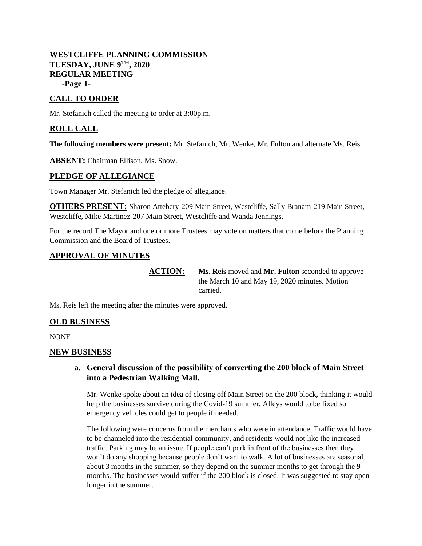## **WESTCLIFFE PLANNING COMMISSION TUESDAY, JUNE 9 TH, 2020 REGULAR MEETING -Page 1-**

# **CALL TO ORDER**

Mr. Stefanich called the meeting to order at 3:00p.m.

## **ROLL CALL**

**The following members were present:** Mr. Stefanich, Mr. Wenke, Mr. Fulton and alternate Ms. Reis.

**ABSENT:** Chairman Ellison, Ms. Snow.

### **PLEDGE OF ALLEGIANCE**

Town Manager Mr. Stefanich led the pledge of allegiance.

**OTHERS PRESENT:** Sharon Attebery-209 Main Street, Westcliffe, Sally Branam-219 Main Street, Westcliffe, Mike Martinez-207 Main Street, Westcliffe and Wanda Jennings.

For the record The Mayor and one or more Trustees may vote on matters that come before the Planning Commission and the Board of Trustees.

### **APPROVAL OF MINUTES**

**ACTION: Ms. Reis** moved and **Mr. Fulton** seconded to approve the March 10 and May 19, 2020 minutes. Motion carried.

Ms. Reis left the meeting after the minutes were approved.

## **OLD BUSINESS**

NONE

#### **NEW BUSINESS**

## **a. General discussion of the possibility of converting the 200 block of Main Street into a Pedestrian Walking Mall.**

Mr. Wenke spoke about an idea of closing off Main Street on the 200 block, thinking it would help the businesses survive during the Covid-19 summer. Alleys would to be fixed so emergency vehicles could get to people if needed.

The following were concerns from the merchants who were in attendance. Traffic would have to be channeled into the residential community, and residents would not like the increased traffic. Parking may be an issue. If people can't park in front of the businesses then they won't do any shopping because people don't want to walk. A lot of businesses are seasonal, about 3 months in the summer, so they depend on the summer months to get through the 9 months. The businesses would suffer if the 200 block is closed. It was suggested to stay open longer in the summer.